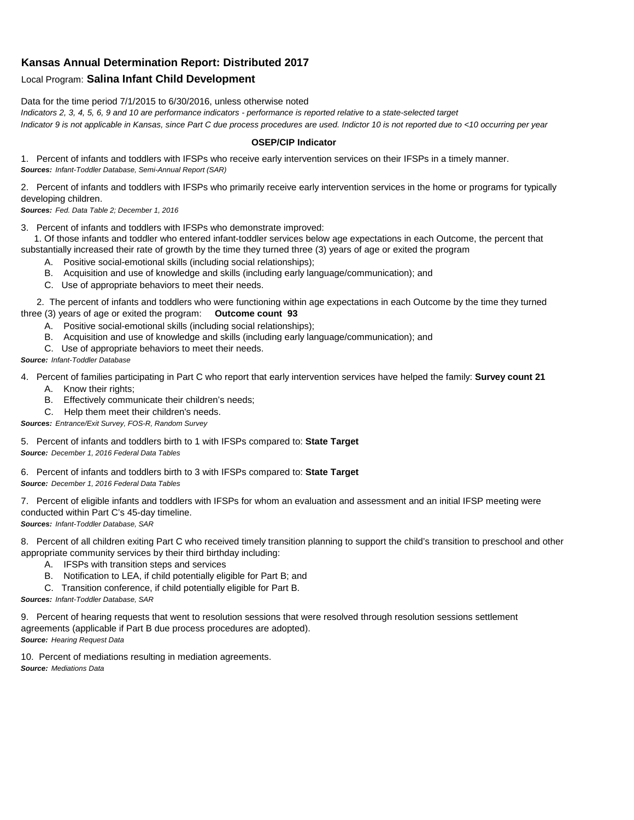## **Kansas Annual Determination Report: Distributed 2017**

## Local Program: **Salina Infant Child Development**

Data for the time period 7/1/2015 to 6/30/2016, unless otherwise noted

*Indicators 2, 3, 4, 5, 6, 9 and 10 are performance indicators - performance is reported relative to a state-selected target Indicator 9 is not applicable in Kansas, since Part C due process procedures are used. Indictor 10 is not reported due to <10 occurring per year*

## **OSEP/CIP Indicator**

1. Percent of infants and toddlers with IFSPs who receive early intervention services on their IFSPs in a timely manner. *Sources: Infant-Toddler Database, Semi-Annual Report (SAR)* 

2. Percent of infants and toddlers with IFSPs who primarily receive early intervention services in the home or programs for typically developing children.

*Sources: Fed. Data Table 2; December 1, 2016*

3. Percent of infants and toddlers with IFSPs who demonstrate improved:

 1. Of those infants and toddler who entered infant-toddler services below age expectations in each Outcome, the percent that substantially increased their rate of growth by the time they turned three (3) years of age or exited the program

- A. Positive social-emotional skills (including social relationships);
- B. Acquisition and use of knowledge and skills (including early language/communication); and
- C. Use of appropriate behaviors to meet their needs.

 2. The percent of infants and toddlers who were functioning within age expectations in each Outcome by the time they turned three (3) years of age or exited the program: **Outcome count 93**

- A. Positive social-emotional skills (including social relationships);
- B. Acquisition and use of knowledge and skills (including early language/communication); and
- C. Use of appropriate behaviors to meet their needs.

## *Source: Infant-Toddler Database*

4. Percent of families participating in Part C who report that early intervention services have helped the family: **Survey count 21**

- A. Know their rights;
- B. Effectively communicate their children's needs;
- C. Help them meet their children's needs.
- *Sources: Entrance/Exit Survey, FOS-R, Random Survey*

5. Percent of infants and toddlers birth to 1 with IFSPs compared to: **State Target** *Source: December 1, 2016 Federal Data Tables*

6. Percent of infants and toddlers birth to 3 with IFSPs compared to: **State Target** *Source: December 1, 2016 Federal Data Tables*

7. Percent of eligible infants and toddlers with IFSPs for whom an evaluation and assessment and an initial IFSP meeting were conducted within Part C's 45-day timeline.

*Sources: Infant-Toddler Database, SAR*

8. Percent of all children exiting Part C who received timely transition planning to support the child's transition to preschool and other appropriate community services by their third birthday including:

- A. IFSPs with transition steps and services
- B. Notification to LEA, if child potentially eligible for Part B; and
- C. Transition conference, if child potentially eligible for Part B.

*Sources: Infant-Toddler Database, SAR*

9. Percent of hearing requests that went to resolution sessions that were resolved through resolution sessions settlement agreements (applicable if Part B due process procedures are adopted). *Source: Hearing Request Data*

10. Percent of mediations resulting in mediation agreements. *Source: Mediations Data*